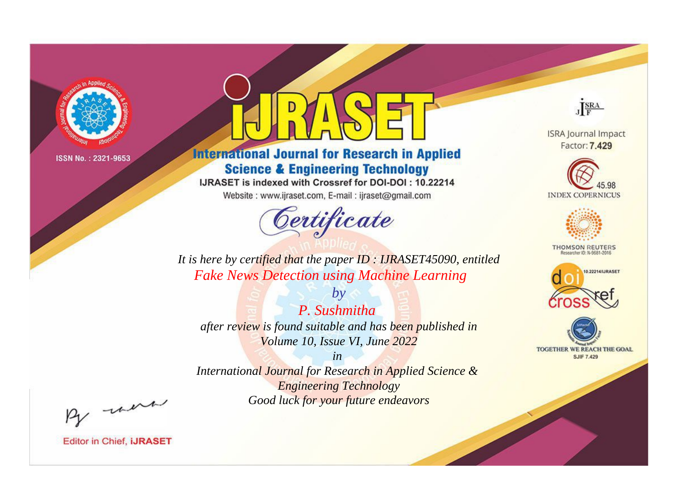

# **International Journal for Research in Applied Science & Engineering Technology**

IJRASET is indexed with Crossref for DOI-DOI: 10.22214

Website: www.ijraset.com, E-mail: ijraset@gmail.com



JERA

**ISRA Journal Impact** Factor: 7.429





**THOMSON REUTERS** 



TOGETHER WE REACH THE GOAL **SJIF 7.429** 

*It is here by certified that the paper ID : IJRASET45090, entitled Fake News Detection using Machine Learning*

*P. Sushmitha after review is found suitable and has been published in Volume 10, Issue VI, June 2022*

*by*

*in* 

*International Journal for Research in Applied Science & Engineering Technology Good luck for your future endeavors*

By morn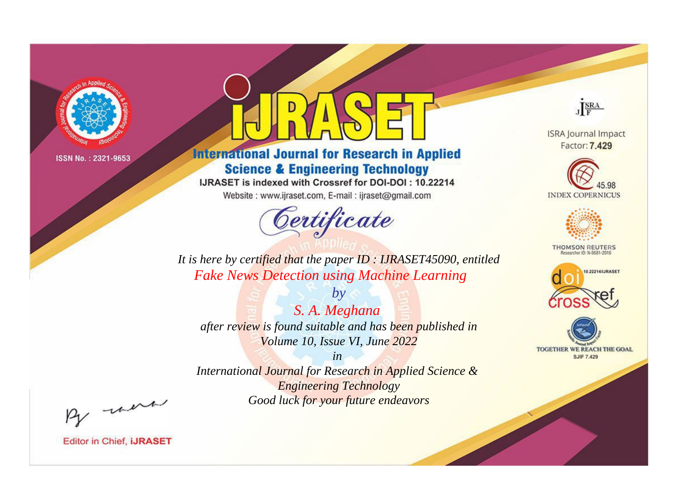

# **International Journal for Research in Applied Science & Engineering Technology**

IJRASET is indexed with Crossref for DOI-DOI: 10.22214

Website: www.ijraset.com, E-mail: ijraset@gmail.com



JERA

**ISRA Journal Impact** Factor: 7.429





**THOMSON REUTERS** 



TOGETHER WE REACH THE GOAL **SJIF 7.429** 

It is here by certified that the paper ID: IJRASET45090, entitled **Fake News Detection using Machine Learning** 

 $by$ S. A. Meghana after review is found suitable and has been published in Volume 10, Issue VI, June 2022

 $in$ International Journal for Research in Applied Science & **Engineering Technology** Good luck for your future endeavors

By morn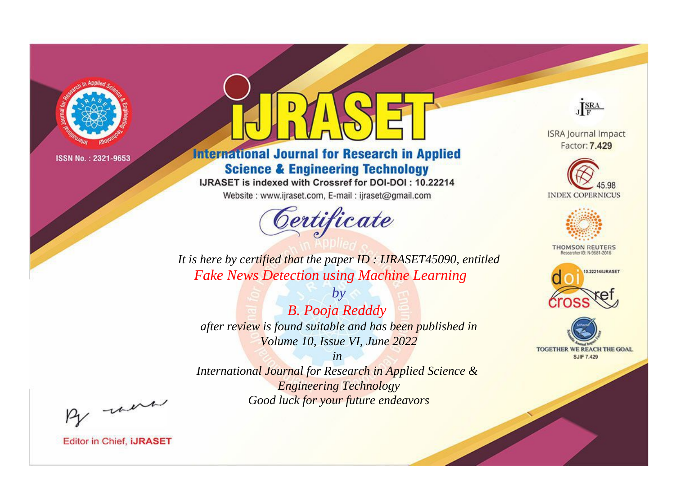

# **International Journal for Research in Applied Science & Engineering Technology**

IJRASET is indexed with Crossref for DOI-DOI: 10.22214

Website: www.ijraset.com, E-mail: ijraset@gmail.com



JERA

**ISRA Journal Impact** Factor: 7.429





**THOMSON REUTERS** 



TOGETHER WE REACH THE GOAL **SJIF 7.429** 

*It is here by certified that the paper ID : IJRASET45090, entitled Fake News Detection using Machine Learning*

*B. Pooja Redddy after review is found suitable and has been published in Volume 10, Issue VI, June 2022*

*by*

*in* 

*International Journal for Research in Applied Science & Engineering Technology Good luck for your future endeavors*

By morn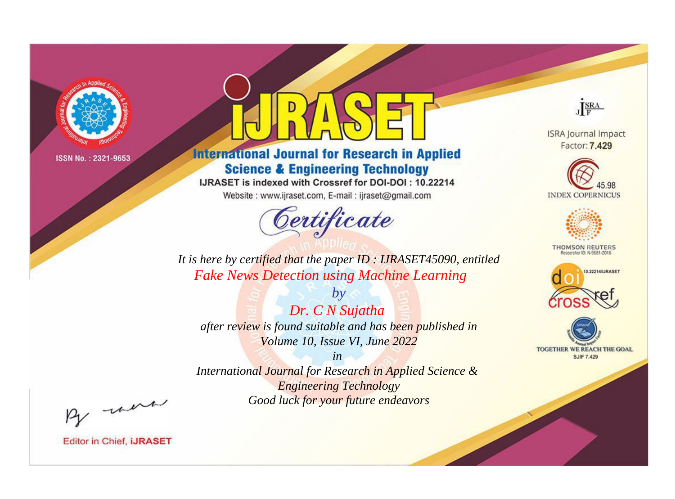

# **International Journal for Research in Applied Science & Engineering Technology**

IJRASET is indexed with Crossref for DOI-DOI: 10.22214

Website: www.ijraset.com, E-mail: ijraset@gmail.com



JERA

**ISRA Journal Impact** Factor: 7.429





**THOMSON REUTERS** 



TOGETHER WE REACH THE GOAL **SJIF 7.429** 

*It is here by certified that the paper ID : IJRASET45090, entitled Fake News Detection using Machine Learning*

*by Dr. C N Sujatha after review is found suitable and has been published in Volume 10, Issue VI, June 2022*

*in* 

*International Journal for Research in Applied Science & Engineering Technology Good luck for your future endeavors*

By morn